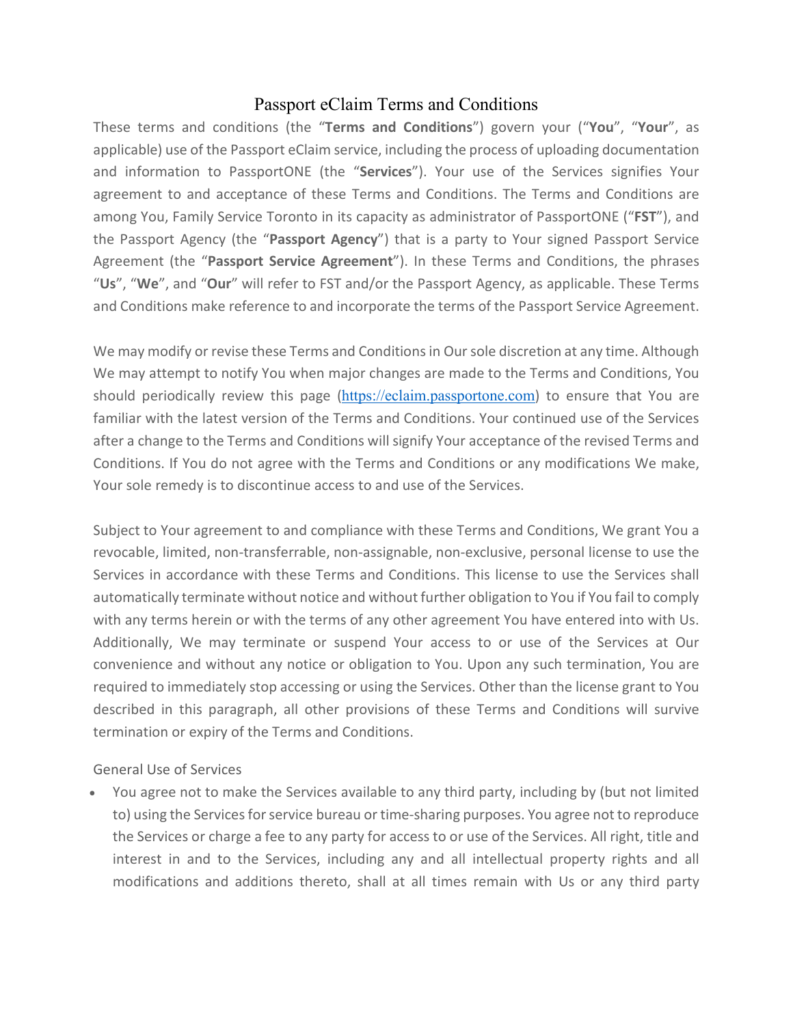## Passport eClaim Terms and Conditions

These terms and conditions (the "**Terms and Conditions**") govern your ("**You**", "**Your**", as applicable) use of the Passport eClaim service, including the process of uploading documentation and information to PassportONE (the "**Services**"). Your use of the Services signifies Your agreement to and acceptance of these Terms and Conditions. The Terms and Conditions are among You, Family Service Toronto in its capacity as administrator of PassportONE ("**FST**"), and the Passport Agency (the "**Passport Agency**") that is a party to Your signed Passport Service Agreement (the "**Passport Service Agreement**"). In these Terms and Conditions, the phrases "**Us**", "**We**", and "**Our**" will refer to FST and/or the Passport Agency, as applicable. These Terms and Conditions make reference to and incorporate the terms of the Passport Service Agreement.

We may modify or revise these Terms and Conditions in Our sole discretion at any time. Although We may attempt to notify You when major changes are made to the Terms and Conditions, You should periodically review this page ([https://eclaim.passportone.com](https://eclaim.passportone.com/)) to ensure that You are familiar with the latest version of the Terms and Conditions. Your continued use of the Services after a change to the Terms and Conditions will signify Your acceptance of the revised Terms and Conditions. If You do not agree with the Terms and Conditions or any modifications We make, Your sole remedy is to discontinue access to and use of the Services.

Subject to Your agreement to and compliance with these Terms and Conditions, We grant You a revocable, limited, non-transferrable, non-assignable, non-exclusive, personal license to use the Services in accordance with these Terms and Conditions. This license to use the Services shall automatically terminate without notice and without further obligation to You if You fail to comply with any terms herein or with the terms of any other agreement You have entered into with Us. Additionally, We may terminate or suspend Your access to or use of the Services at Our convenience and without any notice or obligation to You. Upon any such termination, You are required to immediately stop accessing or using the Services. Other than the license grant to You described in this paragraph, all other provisions of these Terms and Conditions will survive termination or expiry of the Terms and Conditions.

General Use of Services

• You agree not to make the Services available to any third party, including by (but not limited to) using the Servicesfor service bureau or time-sharing purposes. You agree not to reproduce the Services or charge a fee to any party for access to or use of the Services. All right, title and interest in and to the Services, including any and all intellectual property rights and all modifications and additions thereto, shall at all times remain with Us or any third party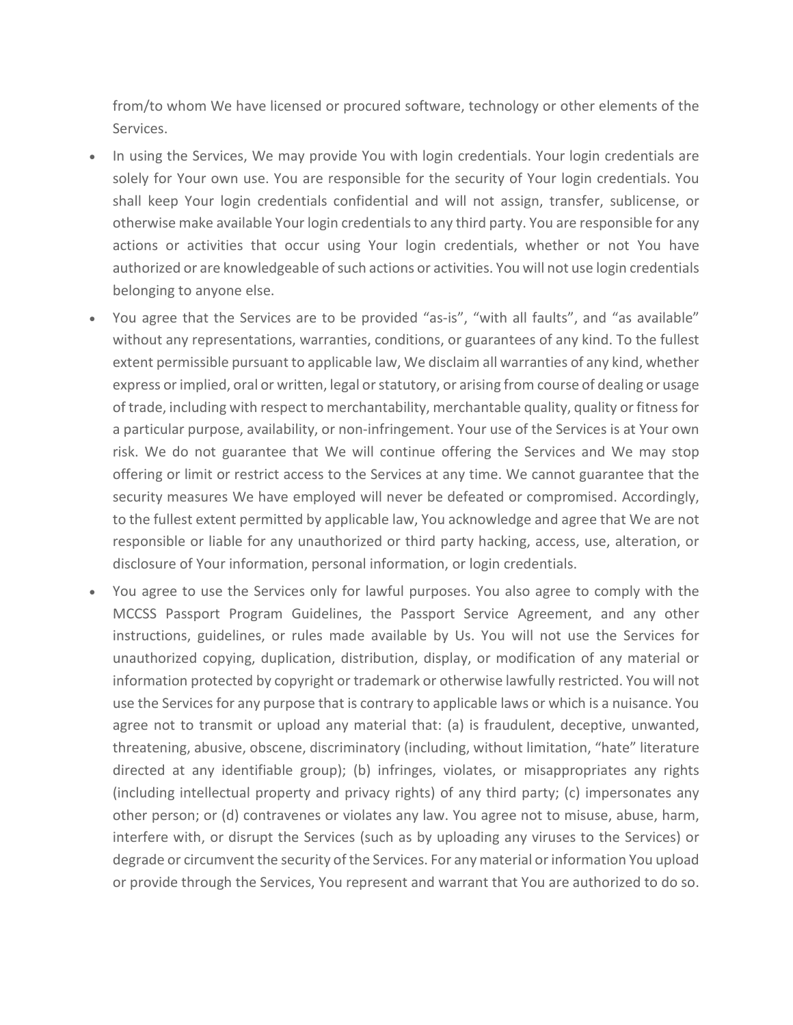from/to whom We have licensed or procured software, technology or other elements of the Services.

- In using the Services, We may provide You with login credentials. Your login credentials are solely for Your own use. You are responsible for the security of Your login credentials. You shall keep Your login credentials confidential and will not assign, transfer, sublicense, or otherwise make available Your login credentials to any third party. You are responsible for any actions or activities that occur using Your login credentials, whether or not You have authorized or are knowledgeable of such actions or activities. You will not use login credentials belonging to anyone else.
- You agree that the Services are to be provided "as-is", "with all faults", and "as available" without any representations, warranties, conditions, or guarantees of any kind. To the fullest extent permissible pursuant to applicable law, We disclaim all warranties of any kind, whether express or implied, oral or written, legal or statutory, or arising from course of dealing or usage of trade, including with respect to merchantability, merchantable quality, quality or fitness for a particular purpose, availability, or non-infringement. Your use of the Services is at Your own risk. We do not guarantee that We will continue offering the Services and We may stop offering or limit or restrict access to the Services at any time. We cannot guarantee that the security measures We have employed will never be defeated or compromised. Accordingly, to the fullest extent permitted by applicable law, You acknowledge and agree that We are not responsible or liable for any unauthorized or third party hacking, access, use, alteration, or disclosure of Your information, personal information, or login credentials.
- You agree to use the Services only for lawful purposes. You also agree to comply with the MCCSS Passport Program Guidelines, the Passport Service Agreement, and any other instructions, guidelines, or rules made available by Us. You will not use the Services for unauthorized copying, duplication, distribution, display, or modification of any material or information protected by copyright or trademark or otherwise lawfully restricted. You will not use the Services for any purpose that is contrary to applicable laws or which is a nuisance. You agree not to transmit or upload any material that: (a) is fraudulent, deceptive, unwanted, threatening, abusive, obscene, discriminatory (including, without limitation, "hate" literature directed at any identifiable group); (b) infringes, violates, or misappropriates any rights (including intellectual property and privacy rights) of any third party; (c) impersonates any other person; or (d) contravenes or violates any law. You agree not to misuse, abuse, harm, interfere with, or disrupt the Services (such as by uploading any viruses to the Services) or degrade or circumvent the security of the Services. For any material or information You upload or provide through the Services, You represent and warrant that You are authorized to do so.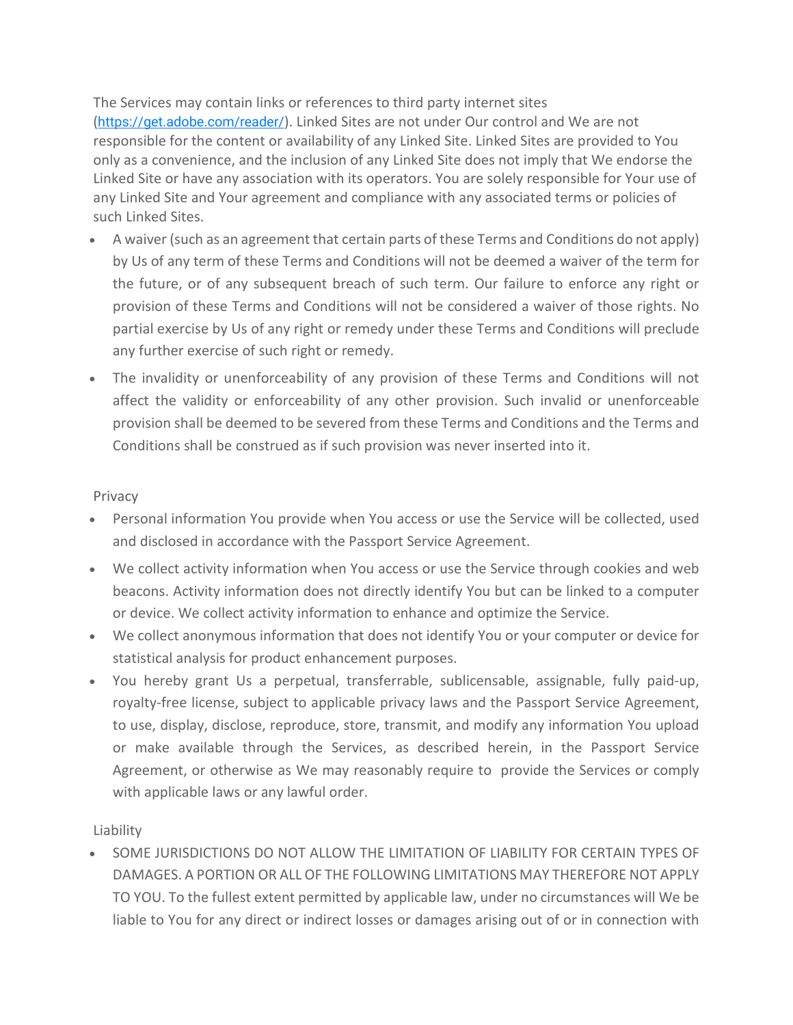The Services may contain links or references to third party internet sites (<https://get.adobe.com/reader/>). Linked Sites are not under Our control and We are not responsible for the content or availability of any Linked Site. Linked Sites are provided to You only as a convenience, and the inclusion of any Linked Site does not imply that We endorse the Linked Site or have any association with its operators. You are solely responsible for Your use of any Linked Site and Your agreement and compliance with any associated terms or policies of such Linked Sites.

- A waiver (such as an agreement that certain parts of these Terms and Conditions do not apply) by Us of any term of these Terms and Conditions will not be deemed a waiver of the term for the future, or of any subsequent breach of such term. Our failure to enforce any right or provision of these Terms and Conditions will not be considered a waiver of those rights. No partial exercise by Us of any right or remedy under these Terms and Conditions will preclude any further exercise of such right or remedy.
- The invalidity or unenforceability of any provision of these Terms and Conditions will not affect the validity or enforceability of any other provision. Such invalid or unenforceable provision shall be deemed to be severed from these Terms and Conditions and the Terms and Conditions shall be construed as if such provision was never inserted into it.

## Privacy

- Personal information You provide when You access or use the Service will be collected, used and disclosed in accordance with the Passport Service Agreement.
- We collect activity information when You access or use the Service through cookies and web beacons. Activity information does not directly identify You but can be linked to a computer or device. We collect activity information to enhance and optimize the Service.
- We collect anonymous information that does not identify You or your computer or device for statistical analysis for product enhancement purposes.
- You hereby grant Us a perpetual, transferrable, sublicensable, assignable, fully paid-up, royalty-free license, subject to applicable privacy laws and the Passport Service Agreement, to use, display, disclose, reproduce, store, transmit, and modify any information You upload or make available through the Services, as described herein, in the Passport Service Agreement, or otherwise as We may reasonably require to provide the Services or comply with applicable laws or any lawful order.

## Liability

• SOME JURISDICTIONS DO NOT ALLOW THE LIMITATION OF LIABILITY FOR CERTAIN TYPES OF DAMAGES. A PORTION OR ALL OF THE FOLLOWING LIMITATIONS MAY THEREFORE NOT APPLY TO YOU. To the fullest extent permitted by applicable law, under no circumstances will We be liable to You for any direct or indirect losses or damages arising out of or in connection with